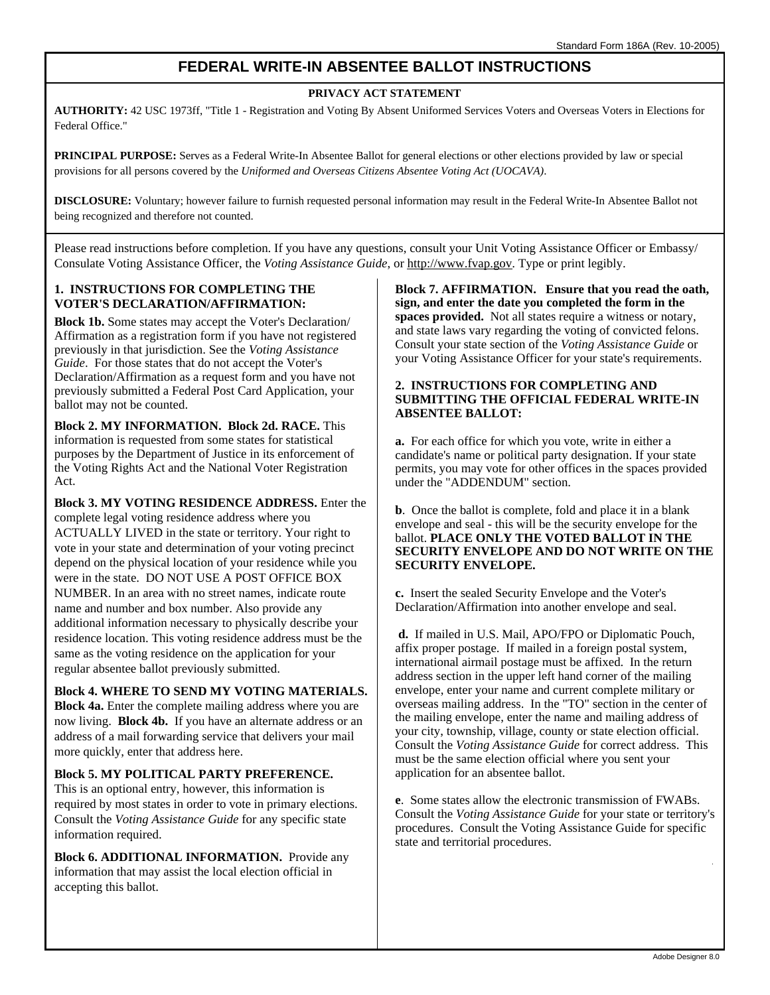# **FEDERAL WRITE-IN ABSENTEE BALLOT INSTRUCTIONS**

#### **PRIVACY ACT STATEMENT**

**AUTHORITY:** 42 USC 1973ff, "Title 1 - Registration and Voting By Absent Uniformed Services Voters and Overseas Voters in Elections for Federal Office."

**PRINCIPAL PURPOSE:** Serves as a Federal Write-In Absentee Ballot for general elections or other elections provided by law or special provisions for all persons covered by the *Uniformed and Overseas Citizens Absentee Voting Act (UOCAVA)*.

**DISCLOSURE:** Voluntary; however failure to furnish requested personal information may result in the Federal Write-In Absentee Ballot not being recognized and therefore not counted.

Please read instructions before completion. If you have any questions, consult your Unit Voting Assistance Officer or Embassy/ Consulate Voting Assistance Officer, the *Voting Assistance Guide*, or http://www.fvap.gov. Type or print legibly.

#### **1. INSTRUCTIONS FOR COMPLETING THE VOTER'S DECLARATION/AFFIRMATION:**

**Block 1b.** Some states may accept the Voter's Declaration/ Affirmation as a registration form if you have not registered previously in that jurisdiction. See the *Voting Assistance Guide*. For those states that do not accept the Voter's Declaration/Affirmation as a request form and you have not previously submitted a Federal Post Card Application, your ballot may not be counted.

**Block 2. MY INFORMATION. Block 2d. RACE.** This information is requested from some states for statistical purposes by the Department of Justice in its enforcement of the Voting Rights Act and the National Voter Registration Act.

**Block 3. MY VOTING RESIDENCE ADDRESS.** Enter the complete legal voting residence address where you ACTUALLY LIVED in the state or territory. Your right to vote in your state and determination of your voting precinct depend on the physical location of your residence while you were in the state. DO NOT USE A POST OFFICE BOX NUMBER. In an area with no street names, indicate route name and number and box number. Also provide any additional information necessary to physically describe your residence location. This voting residence address must be the same as the voting residence on the application for your regular absentee ballot previously submitted.

**Block 4. WHERE TO SEND MY VOTING MATERIALS. Block 4a.** Enter the complete mailing address where you are now living. **Block 4b.** If you have an alternate address or an address of a mail forwarding service that delivers your mail more quickly, enter that address here.

#### **Block 5. MY POLITICAL PARTY PREFERENCE.**

This is an optional entry, however, this information is required by most states in order to vote in primary elections. Consult the *Voting Assistance Guide* for any specific state information required.

**Block 6. ADDITIONAL INFORMATION.** Provide any information that may assist the local election official in accepting this ballot.

**Block 7. AFFIRMATION. Ensure that you read the oath, sign, and enter the date you completed the form in the**  spaces provided. Not all states require a witness or notary, and state laws vary regarding the voting of convicted felons. Consult your state section of the *Voting Assistance Guide* or your Voting Assistance Officer for your state's requirements.

#### **2. INSTRUCTIONS FOR COMPLETING AND SUBMITTING THE OFFICIAL FEDERAL WRITE-IN ABSENTEE BALLOT:**

**a.** For each office for which you vote, write in either a candidate's name or political party designation. If your state permits, you may vote for other offices in the spaces provided under the "ADDENDUM" section.

**b**. Once the ballot is complete, fold and place it in a blank envelope and seal - this will be the security envelope for the ballot. **PLACE ONLY THE VOTED BALLOT IN THE SECURITY ENVELOPE AND DO NOT WRITE ON THE SECURITY ENVELOPE.** 

**c.** Insert the sealed Security Envelope and the Voter's Declaration/Affirmation into another envelope and seal.

**d.** If mailed in U.S. Mail, APO/FPO or Diplomatic Pouch, affix proper postage. If mailed in a foreign postal system, international airmail postage must be affixed. In the return address section in the upper left hand corner of the mailing envelope, enter your name and current complete military or overseas mailing address. In the "TO" section in the center of the mailing envelope, enter the name and mailing address of your city, township, village, county or state election official. Consult the *Voting Assistance Guide* for correct address. This must be the same election official where you sent your application for an absentee ballot.

**e**. Some states allow the electronic transmission of FWABs. Consult the *Voting Assistance Guide* for your state or territory's procedures. Consult the Voting Assistance Guide for specific state and territorial procedures.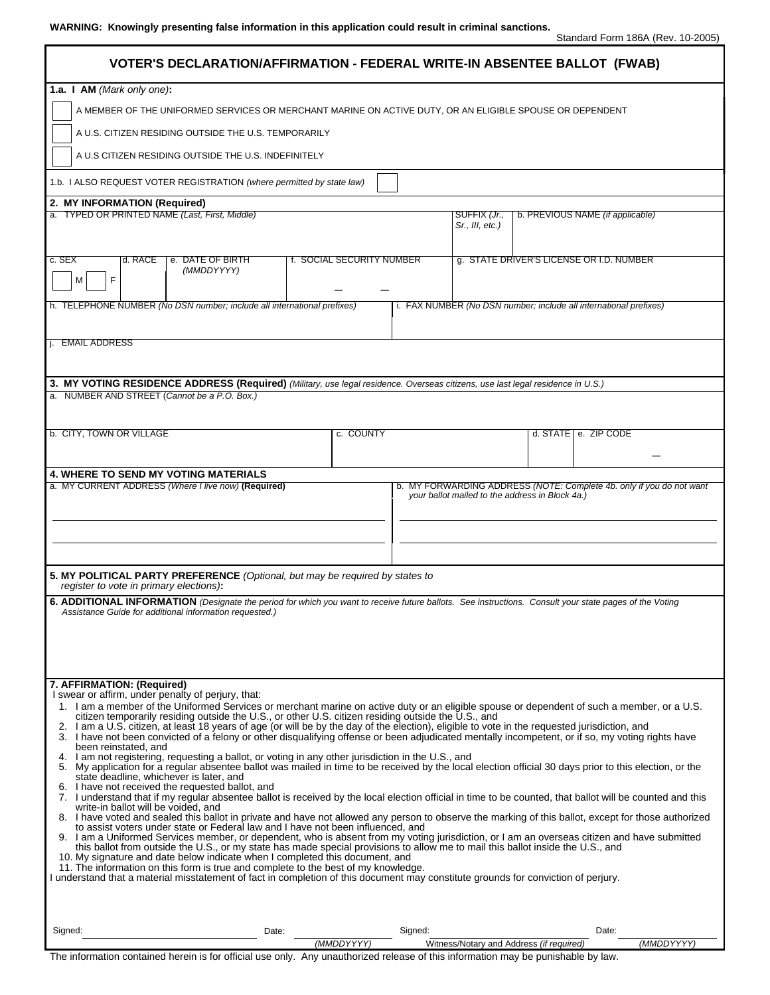| VOTER'S DECLARATION/AFFIRMATION - FEDERAL WRITE-IN ABSENTEE BALLOT (FWAB)                                                                                                                                                                                                                                                                                                                                                                                                                                                                                                                                                                                                                                                                                                                                                              |       |                           |         |                                                 |                                                                   |                                  |            |  |
|----------------------------------------------------------------------------------------------------------------------------------------------------------------------------------------------------------------------------------------------------------------------------------------------------------------------------------------------------------------------------------------------------------------------------------------------------------------------------------------------------------------------------------------------------------------------------------------------------------------------------------------------------------------------------------------------------------------------------------------------------------------------------------------------------------------------------------------|-------|---------------------------|---------|-------------------------------------------------|-------------------------------------------------------------------|----------------------------------|------------|--|
| 1.a. I AM (Mark only one):<br>A MEMBER OF THE UNIFORMED SERVICES OR MERCHANT MARINE ON ACTIVE DUTY, OR AN ELIGIBLE SPOUSE OR DEPENDENT<br>A U.S. CITIZEN RESIDING OUTSIDE THE U.S. TEMPORARILY                                                                                                                                                                                                                                                                                                                                                                                                                                                                                                                                                                                                                                         |       |                           |         |                                                 |                                                                   |                                  |            |  |
| A U.S CITIZEN RESIDING OUTSIDE THE U.S. INDEFINITELY                                                                                                                                                                                                                                                                                                                                                                                                                                                                                                                                                                                                                                                                                                                                                                                   |       |                           |         |                                                 |                                                                   |                                  |            |  |
| 1.b. I ALSO REQUEST VOTER REGISTRATION (where permitted by state law)                                                                                                                                                                                                                                                                                                                                                                                                                                                                                                                                                                                                                                                                                                                                                                  |       |                           |         |                                                 |                                                                   |                                  |            |  |
| 2. MY INFORMATION (Required)                                                                                                                                                                                                                                                                                                                                                                                                                                                                                                                                                                                                                                                                                                                                                                                                           |       |                           |         |                                                 |                                                                   |                                  |            |  |
| a. TYPED OR PRINTED NAME (Last, First, Middle)                                                                                                                                                                                                                                                                                                                                                                                                                                                                                                                                                                                                                                                                                                                                                                                         |       |                           |         | SUFFIX (Jr.,<br>Sr., III, etc.)                 |                                                                   | b. PREVIOUS NAME (if applicable) |            |  |
| d. RACE<br>c. SEX<br>e. DATE OF BIRTH<br>(MMDDYYYY)<br>F<br>М                                                                                                                                                                                                                                                                                                                                                                                                                                                                                                                                                                                                                                                                                                                                                                          |       | f. SOCIAL SECURITY NUMBER |         |                                                 | g. STATE DRIVER'S LICENSE OR I.D. NUMBER                          |                                  |            |  |
| h. TELEPHONE NUMBER (No DSN number; include all international prefixes)                                                                                                                                                                                                                                                                                                                                                                                                                                                                                                                                                                                                                                                                                                                                                                |       |                           |         |                                                 | i. FAX NUMBER (No DSN number; include all international prefixes) |                                  |            |  |
| j. EMAIL ADDRESS                                                                                                                                                                                                                                                                                                                                                                                                                                                                                                                                                                                                                                                                                                                                                                                                                       |       |                           |         |                                                 |                                                                   |                                  |            |  |
| 3. MY VOTING RESIDENCE ADDRESS (Required) (Military, use legal residence. Overseas citizens, use last legal residence in U.S.)                                                                                                                                                                                                                                                                                                                                                                                                                                                                                                                                                                                                                                                                                                         |       |                           |         |                                                 |                                                                   |                                  |            |  |
| a. NUMBER AND STREET (Cannot be a P.O. Box.)                                                                                                                                                                                                                                                                                                                                                                                                                                                                                                                                                                                                                                                                                                                                                                                           |       |                           |         |                                                 |                                                                   |                                  |            |  |
| b. CITY, TOWN OR VILLAGE                                                                                                                                                                                                                                                                                                                                                                                                                                                                                                                                                                                                                                                                                                                                                                                                               |       | c. COUNTY                 |         |                                                 |                                                                   | d. STATE   e. ZIP CODE           |            |  |
|                                                                                                                                                                                                                                                                                                                                                                                                                                                                                                                                                                                                                                                                                                                                                                                                                                        |       |                           |         |                                                 |                                                                   |                                  |            |  |
| 4. WHERE TO SEND MY VOTING MATERIALS<br>b. MY FORWARDING ADDRESS (NOTE: Complete 4b. only if you do not want                                                                                                                                                                                                                                                                                                                                                                                                                                                                                                                                                                                                                                                                                                                           |       |                           |         |                                                 |                                                                   |                                  |            |  |
| a. MY CURRENT ADDRESS (Where I live now) (Required)                                                                                                                                                                                                                                                                                                                                                                                                                                                                                                                                                                                                                                                                                                                                                                                    |       |                           |         | your ballot mailed to the address in Block 4a.) |                                                                   |                                  |            |  |
|                                                                                                                                                                                                                                                                                                                                                                                                                                                                                                                                                                                                                                                                                                                                                                                                                                        |       |                           |         |                                                 |                                                                   |                                  |            |  |
| 5. MY POLITICAL PARTY PREFERENCE (Optional, but may be required by states to<br>register to vote in primary elections):                                                                                                                                                                                                                                                                                                                                                                                                                                                                                                                                                                                                                                                                                                                |       |                           |         |                                                 |                                                                   |                                  |            |  |
| 6. ADDITIONAL INFORMATION (Designate the period for which you want to receive future ballots. See instructions. Consult your state pages of the Voting                                                                                                                                                                                                                                                                                                                                                                                                                                                                                                                                                                                                                                                                                 |       |                           |         |                                                 |                                                                   |                                  |            |  |
| Assistance Guide for additional information requested.)                                                                                                                                                                                                                                                                                                                                                                                                                                                                                                                                                                                                                                                                                                                                                                                |       |                           |         |                                                 |                                                                   |                                  |            |  |
|                                                                                                                                                                                                                                                                                                                                                                                                                                                                                                                                                                                                                                                                                                                                                                                                                                        |       |                           |         |                                                 |                                                                   |                                  |            |  |
| 7. AFFIRMATION: (Required)<br>I swear or affirm, under penalty of perjury, that:<br>1. I am a member of the Uniformed Services or merchant marine on active duty or an eligible spouse or dependent of such a member, or a U.S.<br>citizen temporarily residing outside the U.S., or other U.S. citizen residing outside the U.S., and<br>2. I am a U.S. citizen, at least 18 years of age (or will be by the day of the election), eligible to vote in the requested jurisdiction, and<br>3. I have not been convicted of a felony or other disqualifying offense or been adjudicated mentally incompetent, or if so, my voting rights have<br>been reinstated, and<br>4. I am not registering, requesting a ballot, or voting in any other jurisdiction in the U.S., and                                                             |       |                           |         |                                                 |                                                                   |                                  |            |  |
| 5. My application for a regular absentee ballot was mailed in time to be received by the local election official 30 days prior to this election, or the<br>state deadline, whichever is later, and<br>6. I have not received the requested ballot, and<br>7. I understand that if my regular absentee ballot is received by the local election official in time to be counted, that ballot will be counted and this<br>write-in ballot will be voided, and                                                                                                                                                                                                                                                                                                                                                                             |       |                           |         |                                                 |                                                                   |                                  |            |  |
| 8. I have voted and sealed this ballot in private and have not allowed any person to observe the marking of this ballot, except for those authorized<br>to assist voters under state or Federal law and I have not been influenced, and<br>9. I am a Uniformed Services member, or dependent, who is absent from my voting jurisdiction, or I am an overseas citizen and have submitted<br>this ballot from outside the U.S., or my state has made special provisions to allow me to mail this ballot inside the U.S., and<br>10. My signature and date below indicate when I completed this document, and<br>11. The information on this form is true and complete to the best of my knowledge.<br>I understand that a material misstatement of fact in completion of this document may constitute grounds for conviction of perjury. |       |                           |         |                                                 |                                                                   |                                  |            |  |
|                                                                                                                                                                                                                                                                                                                                                                                                                                                                                                                                                                                                                                                                                                                                                                                                                                        |       |                           |         |                                                 |                                                                   |                                  |            |  |
| Signed:                                                                                                                                                                                                                                                                                                                                                                                                                                                                                                                                                                                                                                                                                                                                                                                                                                | Date: | (MMDDYYYY)                | Signed: |                                                 | Witness/Notary and Address (if required)                          | Date:                            | (MMDDYYYY) |  |

The information contained herein is for official use only. Any unauthorized release of this information may be punishable by law.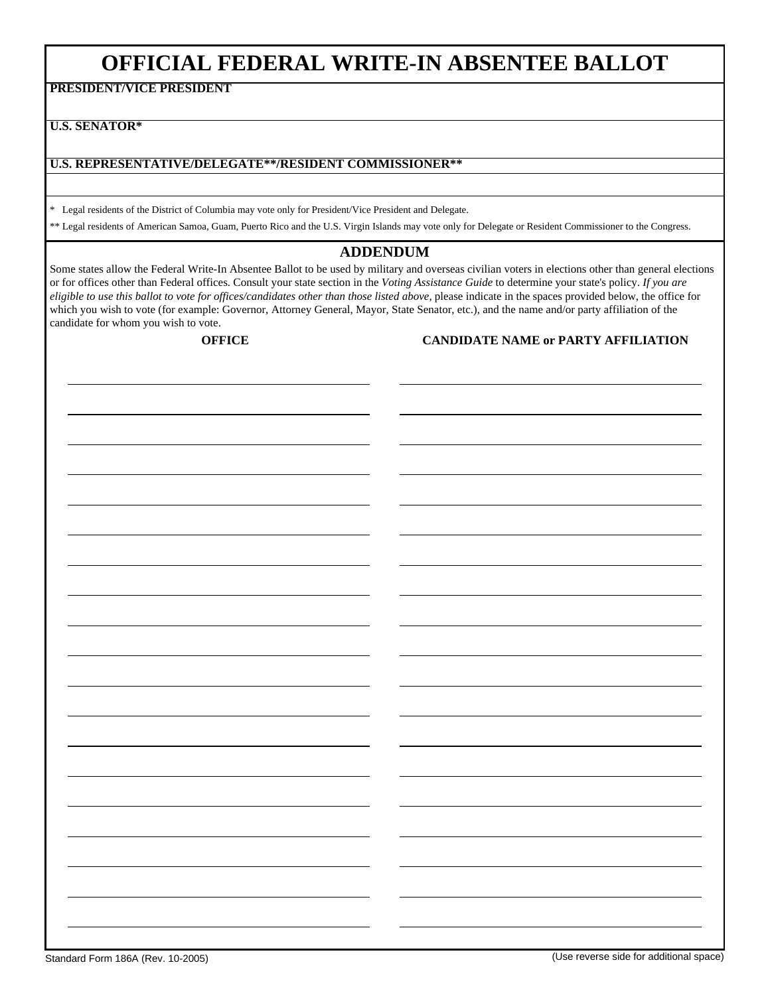# **OFFICIAL FEDERAL WRITE-IN ABSENTEE BALLOT**

**PRESIDENT/VICE PRESIDENT** 

**U.S. SENATOR\*** 

#### **U.S. REPRESENTATIVE/DELEGATE\*\*/RESIDENT COMMISSIONER\*\***

\* Legal residents of the District of Columbia may vote only for President/Vice President and Delegate.

\*\* Legal residents of American Samoa, Guam, Puerto Rico and the U.S. Virgin Islands may vote only for Delegate or Resident Commissioner to the Congress.

## **ADDENDUM**

Some states allow the Federal Write-In Absentee Ballot to be used by military and overseas civilian voters in elections other than general elections or for offices other than Federal offices. Consult your state section in the *Voting Assistance Guide* to determine your state's policy. *If you are eligible to use this ballot to vote for offices/candidates other than those listed above,* please indicate in the spaces provided below, the office for which you wish to vote (for example: Governor, Attorney General, Mayor, State Senator, etc.), and the name and/or party affiliation of the candidate for whom you wish to vote.

**OFFICE CANDIDATE NAME or PARTY AFFILIATION**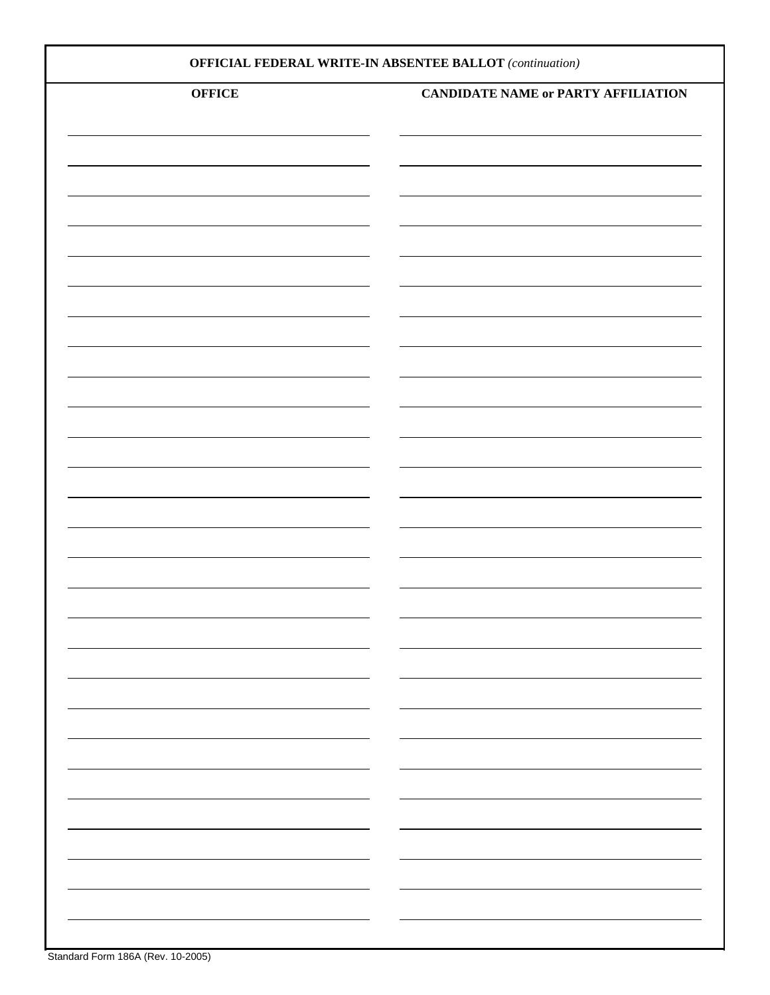| <b>OFFICIAL FEDERAL WRITE-IN ABSENTEE BALLOT</b> (continuation) |                                            |  |  |  |  |
|-----------------------------------------------------------------|--------------------------------------------|--|--|--|--|
| <b>OFFICE</b>                                                   | <b>CANDIDATE NAME or PARTY AFFILIATION</b> |  |  |  |  |
|                                                                 |                                            |  |  |  |  |
|                                                                 |                                            |  |  |  |  |
|                                                                 |                                            |  |  |  |  |
|                                                                 |                                            |  |  |  |  |
|                                                                 |                                            |  |  |  |  |
|                                                                 |                                            |  |  |  |  |
|                                                                 |                                            |  |  |  |  |
|                                                                 |                                            |  |  |  |  |
|                                                                 |                                            |  |  |  |  |
|                                                                 |                                            |  |  |  |  |
|                                                                 |                                            |  |  |  |  |
|                                                                 |                                            |  |  |  |  |
|                                                                 |                                            |  |  |  |  |
|                                                                 |                                            |  |  |  |  |
|                                                                 |                                            |  |  |  |  |
|                                                                 |                                            |  |  |  |  |
|                                                                 |                                            |  |  |  |  |
| -                                                               |                                            |  |  |  |  |
|                                                                 |                                            |  |  |  |  |
| -                                                               |                                            |  |  |  |  |
|                                                                 |                                            |  |  |  |  |
|                                                                 |                                            |  |  |  |  |
|                                                                 |                                            |  |  |  |  |
|                                                                 |                                            |  |  |  |  |